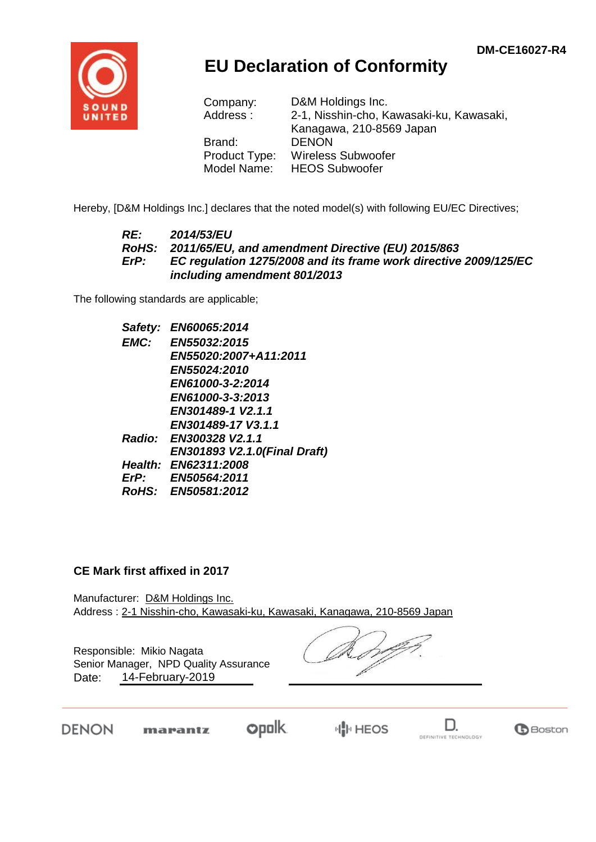

## **EU Declaration of Conformity**

| Company:      | D&M Holdings Inc.                        |  |  |  |
|---------------|------------------------------------------|--|--|--|
| Address:      | 2-1, Nisshin-cho, Kawasaki-ku, Kawasaki, |  |  |  |
|               | Kanagawa, 210-8569 Japan                 |  |  |  |
| Brand:        | <b>DENON</b>                             |  |  |  |
| Product Type: | <b>Wireless Subwoofer</b>                |  |  |  |
| Model Name:   | <b>HEOS Subwoofer</b>                    |  |  |  |

Hereby, [D&M Holdings Inc.] declares that the noted model(s) with following EU/EC Directives;

#### *RE: 2014/53/EU RoHS: 2011/65/EU, and amendment Directive (EU) 2015/863 ErP: EC regulation 1275/2008 and its frame work directive 2009/125/EC including amendment 801/2013*

The following standards are applicable;

*Safety: EN60065:2014 EMC: EN55032:2015 EN55020:2007+A11:2011 EN55024:2010 EN61000-3-2:2014 EN61000-3-3:2013 EN301489-1 V2.1.1 EN301489-17 V3.1.1 Radio: EN300328 V2.1.1 EN301893 V2.1.0(Final Draft) Health: EN62311:2008 ErP: EN50564:2011 RoHS: EN50581:2012*

#### **CE Mark first affixed in 2017**

Manufacturer: D&M Holdings Inc. Address : 2-1 Nisshin-cho, Kawasaki-ku, Kawasaki, Kanagawa, 210-8569 Japan

Responsible: Mikio Nagata Date: 14-February-2019 Senior Manager, NPD Quality Assurance

DENON

**opolk** marantz

 $\mathbb{H}^1$  HEOS

D. DEFINITIVE TECHNOLOGY

**B**Boston